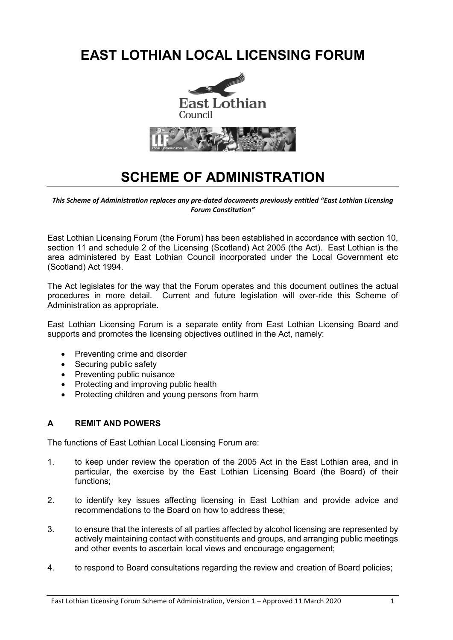# **EAST LOTHIAN LOCAL LICENSING FORUM**





# **SCHEME OF ADMINISTRATION**

*This Scheme of Administration replaces any pre-dated documents previously entitled "East Lothian Licensing Forum Constitution"*

East Lothian Licensing Forum (the Forum) has been established in accordance with section 10, section 11 and schedule 2 of the Licensing (Scotland) Act 2005 (the Act). East Lothian is the area administered by East Lothian Council incorporated under the Local Government etc (Scotland) Act 1994.

The Act legislates for the way that the Forum operates and this document outlines the actual procedures in more detail. Current and future legislation will over-ride this Scheme of Administration as appropriate.

East Lothian Licensing Forum is a separate entity from East Lothian Licensing Board and supports and promotes the licensing objectives outlined in the Act, namely:

- Preventing crime and disorder
- Securing public safety
- Preventing public nuisance
- Protecting and improving public health
- Protecting children and young persons from harm

# **A REMIT AND POWERS**

The functions of East Lothian Local Licensing Forum are:

- 1. to keep under review the operation of the 2005 Act in the East Lothian area, and in particular, the exercise by the East Lothian Licensing Board (the Board) of their functions;
- 2. to identify key issues affecting licensing in East Lothian and provide advice and recommendations to the Board on how to address these;
- 3. to ensure that the interests of all parties affected by alcohol licensing are represented by actively maintaining contact with constituents and groups, and arranging public meetings and other events to ascertain local views and encourage engagement;
- 4. to respond to Board consultations regarding the review and creation of Board policies;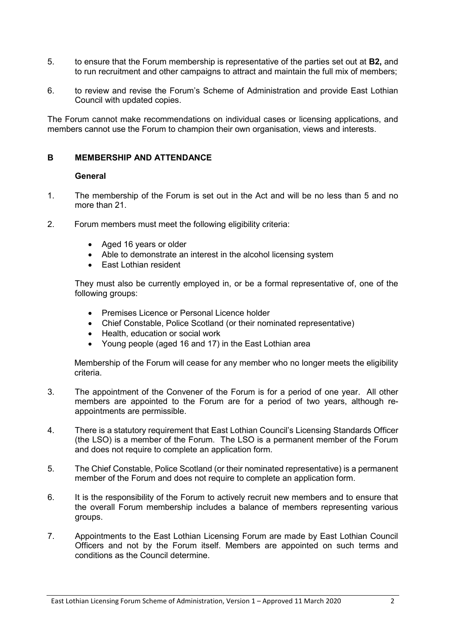- 5. to ensure that the Forum membership is representative of the parties set out at **B2,** and to run recruitment and other campaigns to attract and maintain the full mix of members;
- 6. to review and revise the Forum's Scheme of Administration and provide East Lothian Council with updated copies.

The Forum cannot make recommendations on individual cases or licensing applications, and members cannot use the Forum to champion their own organisation, views and interests.

#### **B MEMBERSHIP AND ATTENDANCE**

#### **General**

- 1. The membership of the Forum is set out in the Act and will be no less than 5 and no more than 21.
- 2. Forum members must meet the following eligibility criteria:
	- Aged 16 years or older
	- Able to demonstrate an interest in the alcohol licensing system
	- East Lothian resident

They must also be currently employed in, or be a formal representative of, one of the following groups:

- Premises Licence or Personal Licence holder
- Chief Constable, Police Scotland (or their nominated representative)
- Health, education or social work
- Young people (aged 16 and 17) in the East Lothian area

Membership of the Forum will cease for any member who no longer meets the eligibility criteria.

- 3. The appointment of the Convener of the Forum is for a period of one year. All other members are appointed to the Forum are for a period of two years, although reappointments are permissible.
- 4. There is a statutory requirement that East Lothian Council's Licensing Standards Officer (the LSO) is a member of the Forum. The LSO is a permanent member of the Forum and does not require to complete an application form.
- 5. The Chief Constable, Police Scotland (or their nominated representative) is a permanent member of the Forum and does not require to complete an application form.
- 6. It is the responsibility of the Forum to actively recruit new members and to ensure that the overall Forum membership includes a balance of members representing various groups.
- 7. Appointments to the East Lothian Licensing Forum are made by East Lothian Council Officers and not by the Forum itself. Members are appointed on such terms and conditions as the Council determine.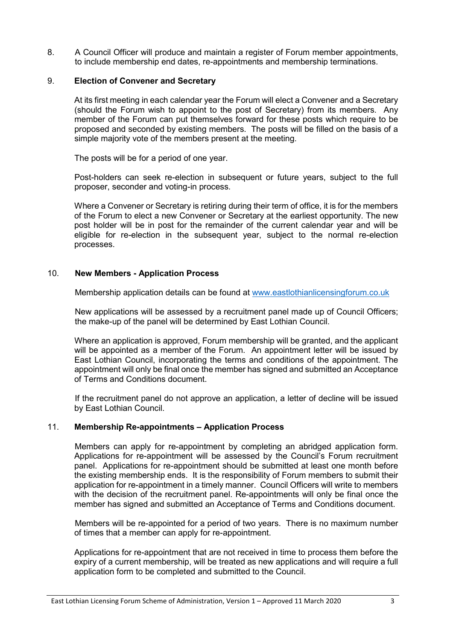8. A Council Officer will produce and maintain a register of Forum member appointments, to include membership end dates, re-appointments and membership terminations.

# 9. **Election of Convener and Secretary**

At its first meeting in each calendar year the Forum will elect a Convener and a Secretary (should the Forum wish to appoint to the post of Secretary) from its members. Any member of the Forum can put themselves forward for these posts which require to be proposed and seconded by existing members. The posts will be filled on the basis of a simple majority vote of the members present at the meeting.

The posts will be for a period of one year.

Post-holders can seek re-election in subsequent or future years, subject to the full proposer, seconder and voting-in process.

Where a Convener or Secretary is retiring during their term of office, it is for the members of the Forum to elect a new Convener or Secretary at the earliest opportunity. The new post holder will be in post for the remainder of the current calendar year and will be eligible for re-election in the subsequent year, subject to the normal re-election processes.

#### 10. **New Members - Application Process**

Membership application details can be found at [www.eastlothianlicensingforum.co.uk](http://www.eastlothianlicensingforum.co.uk/)

New applications will be assessed by a recruitment panel made up of Council Officers; the make-up of the panel will be determined by East Lothian Council.

Where an application is approved, Forum membership will be granted, and the applicant will be appointed as a member of the Forum. An appointment letter will be issued by East Lothian Council, incorporating the terms and conditions of the appointment. The appointment will only be final once the member has signed and submitted an Acceptance of Terms and Conditions document.

If the recruitment panel do not approve an application, a letter of decline will be issued by East Lothian Council.

# 11. **Membership Re-appointments – Application Process**

Members can apply for re-appointment by completing an abridged application form. Applications for re-appointment will be assessed by the Council's Forum recruitment panel. Applications for re-appointment should be submitted at least one month before the existing membership ends. It is the responsibility of Forum members to submit their application for re-appointment in a timely manner. Council Officers will write to members with the decision of the recruitment panel. Re-appointments will only be final once the member has signed and submitted an Acceptance of Terms and Conditions document.

Members will be re-appointed for a period of two years. There is no maximum number of times that a member can apply for re-appointment.

Applications for re-appointment that are not received in time to process them before the expiry of a current membership, will be treated as new applications and will require a full application form to be completed and submitted to the Council.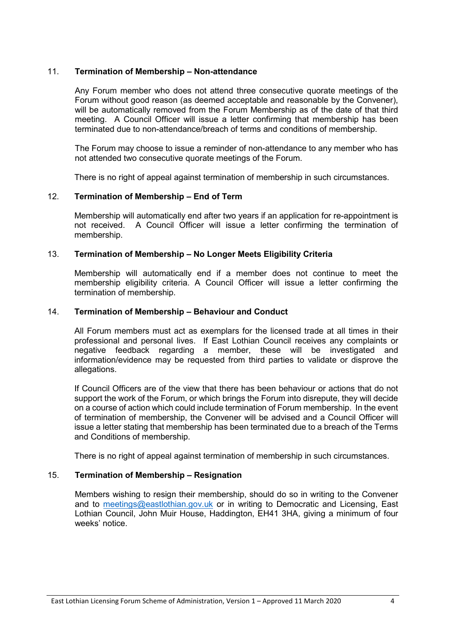# 11. **Termination of Membership – Non-attendance**

Any Forum member who does not attend three consecutive quorate meetings of the Forum without good reason (as deemed acceptable and reasonable by the Convener), will be automatically removed from the Forum Membership as of the date of that third meeting. A Council Officer will issue a letter confirming that membership has been terminated due to non-attendance/breach of terms and conditions of membership.

The Forum may choose to issue a reminder of non-attendance to any member who has not attended two consecutive quorate meetings of the Forum.

There is no right of appeal against termination of membership in such circumstances.

# 12. **Termination of Membership – End of Term**

Membership will automatically end after two years if an application for re-appointment is not received. A Council Officer will issue a letter confirming the termination of membership.

# 13. **Termination of Membership – No Longer Meets Eligibility Criteria**

Membership will automatically end if a member does not continue to meet the membership eligibility criteria. A Council Officer will issue a letter confirming the termination of membership.

#### 14. **Termination of Membership – Behaviour and Conduct**

All Forum members must act as exemplars for the licensed trade at all times in their professional and personal lives. If East Lothian Council receives any complaints or negative feedback regarding a member, these will be investigated and information/evidence may be requested from third parties to validate or disprove the allegations.

If Council Officers are of the view that there has been behaviour or actions that do not support the work of the Forum, or which brings the Forum into disrepute, they will decide on a course of action which could include termination of Forum membership. In the event of termination of membership, the Convener will be advised and a Council Officer will issue a letter stating that membership has been terminated due to a breach of the Terms and Conditions of membership.

There is no right of appeal against termination of membership in such circumstances.

# 15. **Termination of Membership – Resignation**

Members wishing to resign their membership, should do so in writing to the Convener and to [meetings@eastlothian.gov.uk](mailto:meetings@eastlothian.gov.uk) or in writing to Democratic and Licensing, East Lothian Council, John Muir House, Haddington, EH41 3HA, giving a minimum of four weeks' notice.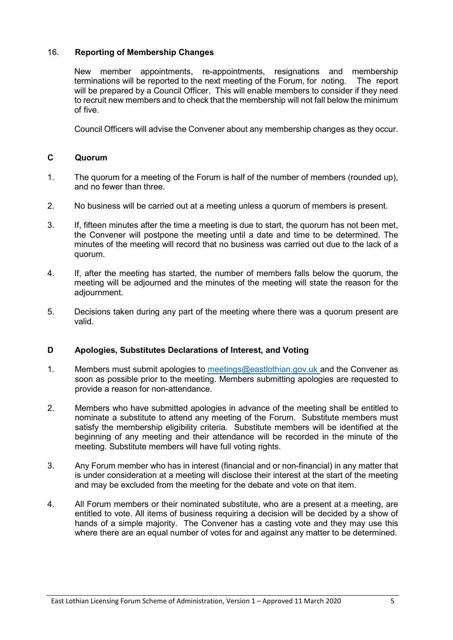# 16. **Reporting of Membership Changes**

New member appointments, re-appointments, resignations and membership terminations will be reported to the next meeting of the Forum, for noting. The report will be prepared by a Council Officer. This will enable members to consider if they need to recruit new members and to check that the membership will not fall below the minimum of five.

Council Officers will advise the Convener about any membership changes as they occur.

# **C Quorum**

- 1. The quorum for a meeting of the Forum is half of the number of members (rounded up), and no fewer than three.
- 2. No business will be carried out at a meeting unless a quorum of members is present.
- 3. If, fifteen minutes after the time a meeting is due to start, the quorum has not been met, the Convener will postpone the meeting until a date and time to be determined. The minutes of the meeting will record that no business was carried out due to the lack of a quorum.
- 4. If, after the meeting has started, the number of members falls below the quorum, the meeting will be adjourned and the minutes of the meeting will state the reason for the adjournment.
- 5. Decisions taken during any part of the meeting where there was a quorum present are valid.

# **D Apologies, Substitutes Declarations of Interest, and Voting**

- 1. Members must submit apologies to [meetings@eastlothian.gov.uk](mailto:meetings@eastlothian.gov.uk) and the Convener as soon as possible prior to the meeting. Members submitting apologies are requested to provide a reason for non-attendance.
- 2. Members who have submitted apologies in advance of the meeting shall be entitled to nominate a substitute to attend any meeting of the Forum. Substitute members must satisfy the membership eligibility criteria. Substitute members will be identified at the beginning of any meeting and their attendance will be recorded in the minute of the meeting. Substitute members will have full voting rights.
- 3. Any Forum member who has in interest (financial and or non-financial) in any matter that is under consideration at a meeting will disclose their interest at the start of the meeting and may be excluded from the meeting for the debate and vote on that item.
- 4. All Forum members or their nominated substitute, who are a present at a meeting, are entitled to vote. All items of business requiring a decision will be decided by a show of hands of a simple majority. The Convener has a casting vote and they may use this where there are an equal number of votes for and against any matter to be determined.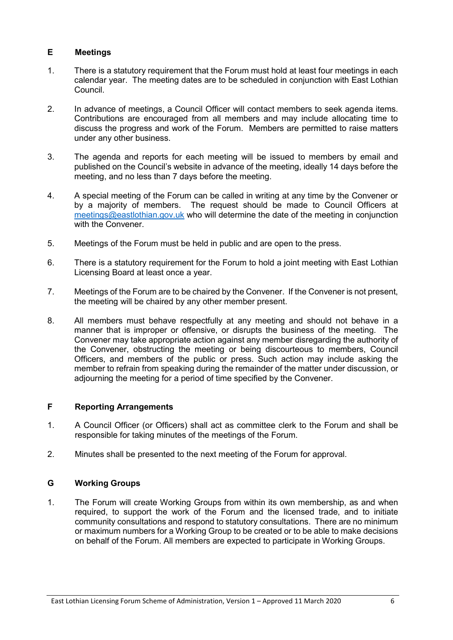# **E Meetings**

- 1. There is a statutory requirement that the Forum must hold at least four meetings in each calendar year. The meeting dates are to be scheduled in conjunction with East Lothian Council.
- 2. In advance of meetings, a Council Officer will contact members to seek agenda items. Contributions are encouraged from all members and may include allocating time to discuss the progress and work of the Forum. Members are permitted to raise matters under any other business.
- 3. The agenda and reports for each meeting will be issued to members by email and published on the Council's website in advance of the meeting, ideally 14 days before the meeting, and no less than 7 days before the meeting.
- 4. A special meeting of the Forum can be called in writing at any time by the Convener or by a majority of members. The request should be made to Council Officers at [meetings@eastlothian.gov.uk](mailto:meetings@eastlothian.gov.uk) who will determine the date of the meeting in conjunction with the Convener
- 5. Meetings of the Forum must be held in public and are open to the press.
- 6. There is a statutory requirement for the Forum to hold a joint meeting with East Lothian Licensing Board at least once a year.
- 7. Meetings of the Forum are to be chaired by the Convener. If the Convener is not present, the meeting will be chaired by any other member present.
- 8. All members must behave respectfully at any meeting and should not behave in a manner that is improper or offensive, or disrupts the business of the meeting. The Convener may take appropriate action against any member disregarding the authority of the Convener, obstructing the meeting or being discourteous to members, Council Officers, and members of the public or press. Such action may include asking the member to refrain from speaking during the remainder of the matter under discussion, or adjourning the meeting for a period of time specified by the Convener.

# **F Reporting Arrangements**

- 1. A Council Officer (or Officers) shall act as committee clerk to the Forum and shall be responsible for taking minutes of the meetings of the Forum.
- 2. Minutes shall be presented to the next meeting of the Forum for approval.

# **G Working Groups**

1. The Forum will create Working Groups from within its own membership, as and when required, to support the work of the Forum and the licensed trade, and to initiate community consultations and respond to statutory consultations. There are no minimum or maximum numbers for a Working Group to be created or to be able to make decisions on behalf of the Forum. All members are expected to participate in Working Groups.